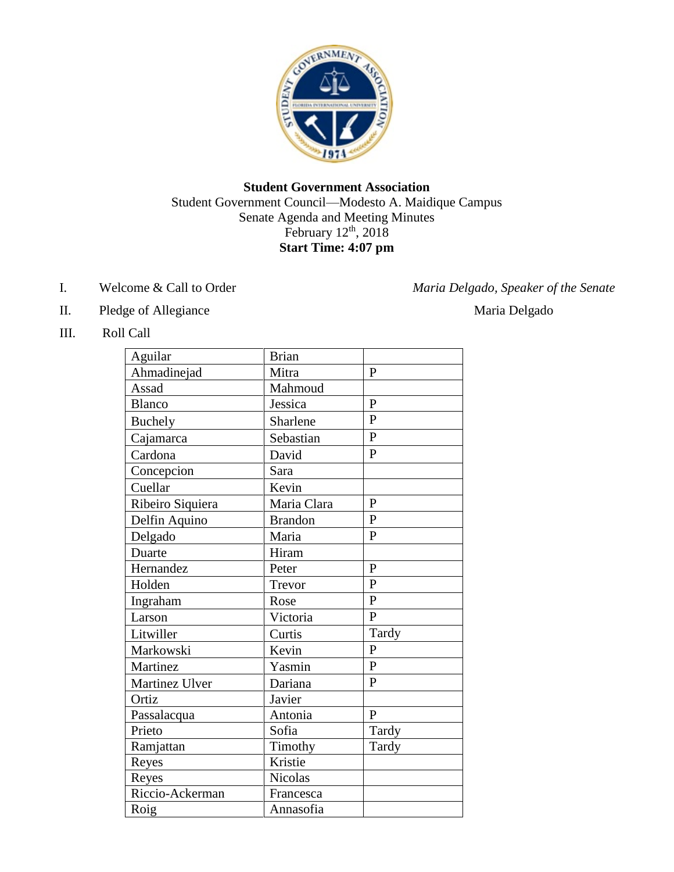

## **Student Government Association** Student Government Council—Modesto A. Maidique Campus Senate Agenda and Meeting Minutes February  $12<sup>th</sup>$ , 2018 **Start Time: 4:07 pm**

I. Welcome & Call to Order *Maria Delgado, Speaker of the Senate* 

- II. Pledge of Allegiance Maria Delgado
- III. Roll Call

| Aguilar          | <b>Brian</b>   |                |
|------------------|----------------|----------------|
| Ahmadinejad      | Mitra          | $\mathbf{P}$   |
| Assad            | Mahmoud        |                |
| <b>Blanco</b>    | Jessica        | $\overline{P}$ |
| <b>Buchely</b>   | Sharlene       | $\overline{P}$ |
| Cajamarca        | Sebastian      | $\overline{P}$ |
| Cardona          | David          | $\overline{P}$ |
| Concepcion       | Sara           |                |
| Cuellar          | Kevin          |                |
| Ribeiro Siquiera | Maria Clara    | $\mathbf{P}$   |
| Delfin Aquino    | <b>Brandon</b> | $\mathbf{P}$   |
| Delgado          | Maria          | $\mathbf{P}$   |
| Duarte           | Hiram          |                |
| Hernandez        | Peter          | $\mathbf{P}$   |
| Holden           | Trevor         | $\mathbf{P}$   |
| Ingraham         | Rose           | $\overline{P}$ |
| Larson           | Victoria       | $\overline{P}$ |
| Litwiller        | Curtis         | Tardy          |
| Markowski        | Kevin          | $\overline{P}$ |
| Martinez         | Yasmin         | $\overline{P}$ |
| Martinez Ulver   | Dariana        | $\mathbf{P}$   |
| Ortiz            | Javier         |                |
| Passalacqua      | Antonia        | $\mathbf{P}$   |
| Prieto           | Sofia          | Tardy          |
| Ramjattan        | Timothy        | Tardy          |
| Reyes            | Kristie        |                |
| Reyes            | <b>Nicolas</b> |                |
| Riccio-Ackerman  | Francesca      |                |
| Roig             | Annasofia      |                |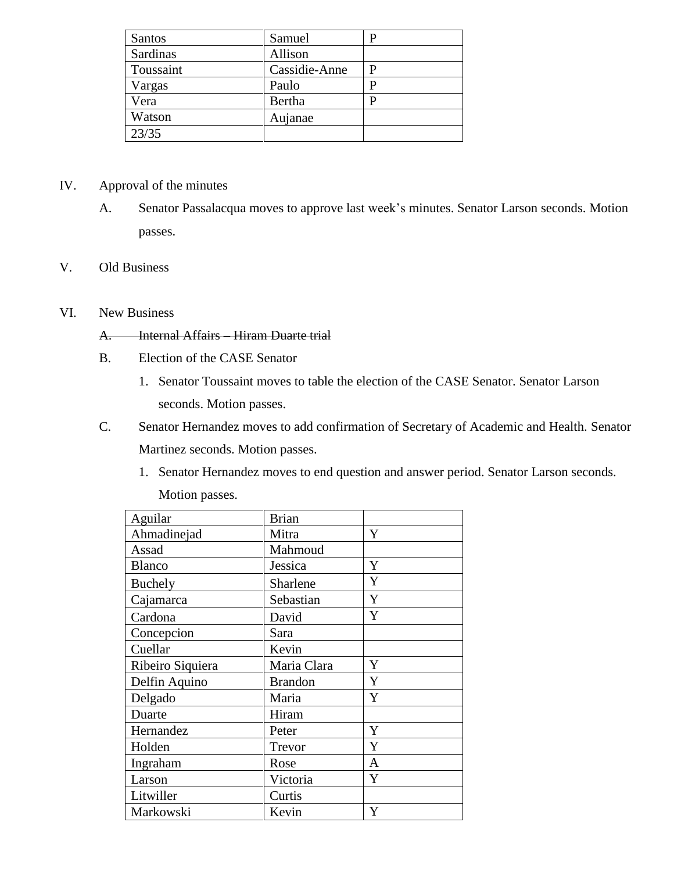| <b>Santos</b> | Samuel        |  |
|---------------|---------------|--|
| Sardinas      | Allison       |  |
| Toussaint     | Cassidie-Anne |  |
| Vargas        | Paulo         |  |
| Vera          | Bertha        |  |
| Watson        | Aujanae       |  |
| 23/35         |               |  |

# IV. Approval of the minutes

A. Senator Passalacqua moves to approve last week's minutes. Senator Larson seconds. Motion passes.

## V. Old Business

### VI. New Business

## A. Internal Affairs – Hiram Duarte trial

- B. Election of the CASE Senator
	- 1. Senator Toussaint moves to table the election of the CASE Senator. Senator Larson seconds. Motion passes.
- C. Senator Hernandez moves to add confirmation of Secretary of Academic and Health. Senator Martinez seconds. Motion passes.
	- 1. Senator Hernandez moves to end question and answer period. Senator Larson seconds.

Motion passes.

| Aguilar          | <b>Brian</b>   |              |
|------------------|----------------|--------------|
| Ahmadinejad      | Mitra          | Y            |
| Assad            | Mahmoud        |              |
| <b>Blanco</b>    | Jessica        | Y            |
| Buchely          | Sharlene       | Y            |
| Cajamarca        | Sebastian      | Y            |
| Cardona          | David          | Y            |
| Concepcion       | Sara           |              |
| Cuellar          | Kevin          |              |
| Ribeiro Siquiera | Maria Clara    | Y            |
| Delfin Aquino    | <b>Brandon</b> | Y            |
| Delgado          | Maria          | Y            |
| Duarte           | Hiram          |              |
| Hernandez        | Peter          | Y            |
| Holden           | Trevor         | Y            |
| Ingraham         | Rose           | $\mathbf{A}$ |
| Larson           | Victoria       | Y            |
| Litwiller        | Curtis         |              |
| Markowski        | Kevin          | Y            |